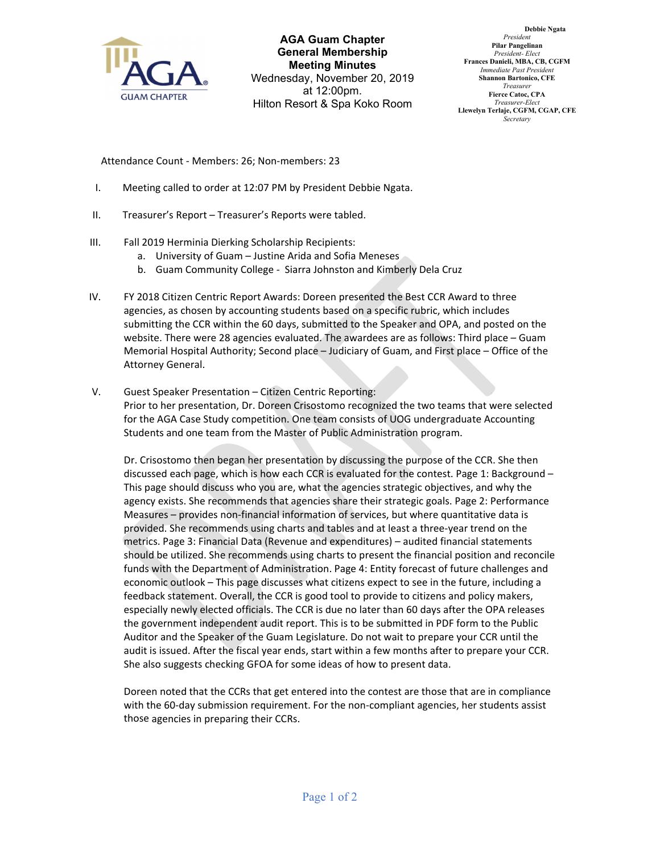

**AGA Guam Chapter General Membership Meeting Minutes** Wednesday, November 20, 2019 at 12:00pm. Hilton Resort & Spa Koko Room

**Debbie Ngata** *President* **Pilar Pangelinan** *President- Elect* **Frances Danieli, MBA, CB, CGFM** *Immediate Past President* **Shannon Bartonico, CFE** *Treasurer* **Fierce Catoc, CPA** *Treasurer-Elect* **Llewelyn Terlaje, CGFM, CGAP, CFE** *Secretary*

Attendance Count ‐ Members: 26; Non‐members: 23

- I. Meeting called to order at 12:07 PM by President Debbie Ngata.
- II. Treasurer's Report Treasurer's Reports were tabled.
- III. Fall 2019 Herminia Dierking Scholarship Recipients:
	- a. University of Guam Justine Arida and Sofia Meneses
	- b. Guam Community College ‐ Siarra Johnston and Kimberly Dela Cruz
- IV. FY 2018 Citizen Centric Report Awards: Doreen presented the Best CCR Award to three agencies, as chosen by accounting students based on a specific rubric, which includes submitting the CCR within the 60 days, submitted to the Speaker and OPA, and posted on the website. There were 28 agencies evaluated. The awardees are as follows: Third place – Guam Memorial Hospital Authority; Second place – Judiciary of Guam, and First place – Office of the Attorney General.
- V. Guest Speaker Presentation Citizen Centric Reporting: Prior to her presentation, Dr. Doreen Crisostomo recognized the two teams that were selected for the AGA Case Study competition. One team consists of UOG undergraduate Accounting Students and one team from the Master of Public Administration program.

Dr. Crisostomo then began her presentation by discussing the purpose of the CCR. She then discussed each page, which is how each CCR is evaluated for the contest. Page 1: Background – This page should discuss who you are, what the agencies strategic objectives, and why the agency exists. She recommends that agencies share their strategic goals. Page 2: Performance Measures – provides non‐financial information of services, but where quantitative data is provided. She recommends using charts and tables and at least a three‐year trend on the metrics. Page 3: Financial Data (Revenue and expenditures) – audited financial statements should be utilized. She recommends using charts to present the financial position and reconcile funds with the Department of Administration. Page 4: Entity forecast of future challenges and economic outlook – This page discusses what citizens expect to see in the future, including a feedback statement. Overall, the CCR is good tool to provide to citizens and policy makers, especially newly elected officials. The CCR is due no later than 60 days after the OPA releases the government independent audit report. This is to be submitted in PDF form to the Public Auditor and the Speaker of the Guam Legislature. Do not wait to prepare your CCR until the audit is issued. After the fiscal year ends, start within a few months after to prepare your CCR. She also suggests checking GFOA for some ideas of how to present data.

Doreen noted that the CCRs that get entered into the contest are those that are in compliance with the 60-day submission requirement. For the non-compliant agencies, her students assist those agencies in preparing their CCRs.